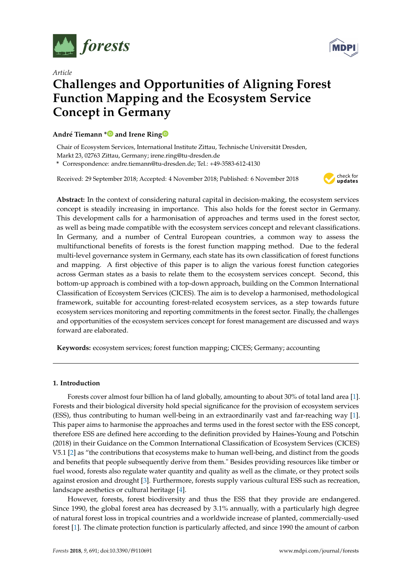

*Article*



# **Challenges and Opportunities of Aligning Forest Function Mapping and the Ecosystem Service Concept in Germany**

## **André Tiemann [\\*](https://orcid.org/0000-0002-1309-2296) and Irene Rin[g](https://orcid.org/0000-0002-2688-8947)**

Chair of Ecosystem Services, International Institute Zittau, Technische Universität Dresden,

Markt 23, 02763 Zittau, Germany; irene.ring@tu-dresden.de

**\*** Correspondence: andre.tiemann@tu-dresden.de; Tel.: +49-3583-612-4130

Received: 29 September 2018; Accepted: 4 November 2018; Published: 6 November 2018



**Abstract:** In the context of considering natural capital in decision-making, the ecosystem services concept is steadily increasing in importance. This also holds for the forest sector in Germany. This development calls for a harmonisation of approaches and terms used in the forest sector, as well as being made compatible with the ecosystem services concept and relevant classifications. In Germany, and a number of Central European countries, a common way to assess the multifunctional benefits of forests is the forest function mapping method. Due to the federal multi-level governance system in Germany, each state has its own classification of forest functions and mapping. A first objective of this paper is to align the various forest function categories across German states as a basis to relate them to the ecosystem services concept. Second, this bottom-up approach is combined with a top-down approach, building on the Common International Classification of Ecosystem Services (CICES). The aim is to develop a harmonised, methodological framework, suitable for accounting forest-related ecosystem services, as a step towards future ecosystem services monitoring and reporting commitments in the forest sector. Finally, the challenges and opportunities of the ecosystem services concept for forest management are discussed and ways forward are elaborated.

**Keywords:** ecosystem services; forest function mapping; CICES; Germany; accounting

## **1. Introduction**

Forests cover almost four billion ha of land globally, amounting to about 30% of total land area [\[1\]](#page-15-0). Forests and their biological diversity hold special significance for the provision of ecosystem services (ESS), thus contributing to human well-being in an extraordinarily vast and far-reaching way [\[1\]](#page-15-0). This paper aims to harmonise the approaches and terms used in the forest sector with the ESS concept, therefore ESS are defined here according to the definition provided by Haines-Young and Potschin (2018) in their Guidance on the Common International Classification of Ecosystem Services (CICES) V5.1 [\[2\]](#page-15-1) as "the contributions that ecosystems make to human well-being, and distinct from the goods and benefits that people subsequently derive from them." Besides providing resources like timber or fuel wood, forests also regulate water quantity and quality as well as the climate, or they protect soils against erosion and drought [\[3\]](#page-16-0). Furthermore, forests supply various cultural ESS such as recreation, landscape aesthetics or cultural heritage [\[4\]](#page-16-1).

However, forests, forest biodiversity and thus the ESS that they provide are endangered. Since 1990, the global forest area has decreased by 3.1% annually, with a particularly high degree of natural forest loss in tropical countries and a worldwide increase of planted, commercially-used forest [\[1\]](#page-15-0). The climate protection function is particularly affected, and since 1990 the amount of carbon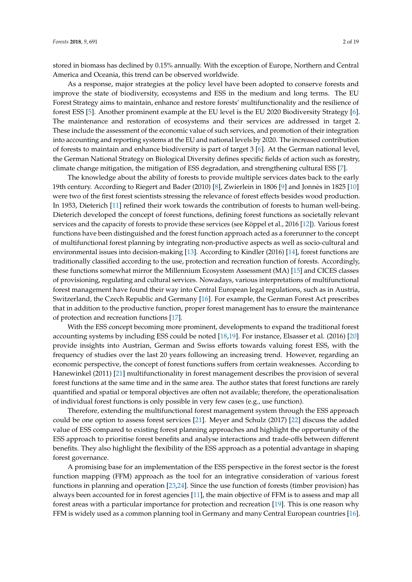stored in biomass has declined by 0.15% annually. With the exception of Europe, Northern and Central America and Oceania, this trend can be observed worldwide.

As a response, major strategies at the policy level have been adopted to conserve forests and improve the state of biodiversity, ecosystems and ESS in the medium and long terms. The EU Forest Strategy aims to maintain, enhance and restore forests' multifunctionality and the resilience of forest ESS [\[5\]](#page-16-2). Another prominent example at the EU level is the EU 2020 Biodiversity Strategy [\[6\]](#page-16-3). The maintenance and restoration of ecosystems and their services are addressed in target 2. These include the assessment of the economic value of such services, and promotion of their integration into accounting and reporting systems at the EU and national levels by 2020. The increased contribution of forests to maintain and enhance biodiversity is part of target 3 [\[6\]](#page-16-3). At the German national level, the German National Strategy on Biological Diversity defines specific fields of action such as forestry, climate change mitigation, the mitigation of ESS degradation, and strengthening cultural ESS [\[7\]](#page-16-4).

The knowledge about the ability of forests to provide multiple services dates back to the early 19th century. According to Riegert and Bader (2010) [\[8\]](#page-16-5), Zwierlein in 1806 [\[9\]](#page-16-6) and Jonnès in 1825 [\[10\]](#page-16-7) were two of the first forest scientists stressing the relevance of forest effects besides wood production. In 1953, Dieterich [\[11\]](#page-16-8) refined their work towards the contribution of forests to human well-being. Dieterich developed the concept of forest functions, defining forest functions as societally relevant services and the capacity of forests to provide these services (see Köppel et al., 2016 [\[12\]](#page-16-9)). Various forest functions have been distinguished and the forest function approach acted as a forerunner to the concept of multifunctional forest planning by integrating non-productive aspects as well as socio-cultural and environmental issues into decision-making [\[13\]](#page-16-10). According to Kindler (2016) [\[14\]](#page-16-11), forest functions are traditionally classified according to the use, protection and recreation function of forests. Accordingly, these functions somewhat mirror the Millennium Ecosystem Assessment (MA) [\[15\]](#page-16-12) and CICES classes of provisioning, regulating and cultural services. Nowadays, various interpretations of multifunctional forest management have found their way into Central European legal regulations, such as in Austria, Switzerland, the Czech Republic and Germany [\[16\]](#page-16-13). For example, the German Forest Act prescribes that in addition to the productive function, proper forest management has to ensure the maintenance of protection and recreation functions [\[17\]](#page-16-14).

With the ESS concept becoming more prominent, developments to expand the traditional forest accounting systems by including ESS could be noted [\[18](#page-16-15)[,19\]](#page-16-16). For instance, Elsasser et al. (2016) [\[20\]](#page-16-17) provide insights into Austrian, German and Swiss efforts towards valuing forest ESS, with the frequency of studies over the last 20 years following an increasing trend. However, regarding an economic perspective, the concept of forest functions suffers from certain weaknesses. According to Hanewinkel (2011) [\[21\]](#page-16-18) multifunctionality in forest management describes the provision of several forest functions at the same time and in the same area. The author states that forest functions are rarely quantified and spatial or temporal objectives are often not available; therefore, the operationalisation of individual forest functions is only possible in very few cases (e.g., use function).

Therefore, extending the multifunctional forest management system through the ESS approach could be one option to assess forest services [\[21\]](#page-16-18). Meyer and Schulz (2017) [\[22\]](#page-16-19) discuss the added value of ESS compared to existing forest planning approaches and highlight the opportunity of the ESS approach to prioritise forest benefits and analyse interactions and trade-offs between different benefits. They also highlight the flexibility of the ESS approach as a potential advantage in shaping forest governance.

A promising base for an implementation of the ESS perspective in the forest sector is the forest function mapping (FFM) approach as the tool for an integrative consideration of various forest functions in planning and operation [\[23](#page-16-20)[,24\]](#page-17-0). Since the use function of forests (timber provision) has always been accounted for in forest agencies [\[11\]](#page-16-8), the main objective of FFM is to assess and map all forest areas with a particular importance for protection and recreation [\[19\]](#page-16-16). This is one reason why FFM is widely used as a common planning tool in Germany and many Central European countries [\[16\]](#page-16-13).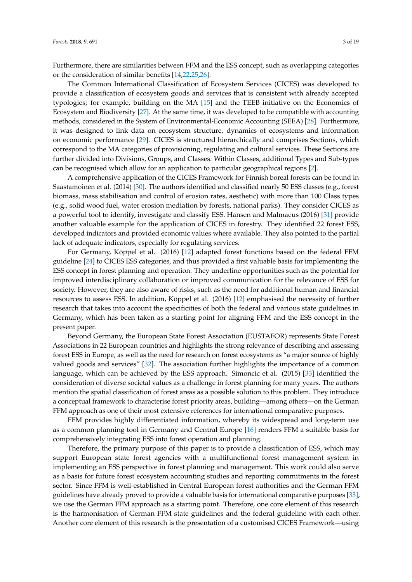Furthermore, there are similarities between FFM and the ESS concept, such as overlapping categories or the consideration of similar benefits [\[14,](#page-16-11)[22,](#page-16-19)[25,](#page-17-1)[26\]](#page-17-2).

The Common International Classification of Ecosystem Services (CICES) was developed to provide a classification of ecosystem goods and services that is consistent with already accepted typologies; for example, building on the MA [\[15\]](#page-16-12) and the TEEB initiative on the Economics of Ecosystem and Biodiversity [\[27\]](#page-17-3). At the same time, it was developed to be compatible with accounting methods, considered in the System of Environmental-Economic Accounting (SEEA) [\[28\]](#page-17-4). Furthermore, it was designed to link data on ecosystem structure, dynamics of ecosystems and information on economic performance [\[29\]](#page-17-5). CICES is structured hierarchically and comprises Sections, which correspond to the MA categories of provisioning, regulating and cultural services. These Sections are further divided into Divisions, Groups, and Classes. Within Classes, additional Types and Sub-types can be recognised which allow for an application to particular geographical regions [\[2\]](#page-15-1).

A comprehensive application of the CICES Framework for Finnish boreal forests can be found in Saastamoinen et al. (2014) [\[30\]](#page-17-6). The authors identified and classified nearly 50 ESS classes (e.g., forest biomass, mass stabilisation and control of erosion rates, aesthetic) with more than 100 Class types (e.g., solid wood fuel, water erosion mediation by forests, national parks). They consider CICES as a powerful tool to identify, investigate and classify ESS. Hansen and Malmaeus (2016) [\[31\]](#page-17-7) provide another valuable example for the application of CICES in forestry. They identified 22 forest ESS, developed indicators and provided economic values where available. They also pointed to the partial lack of adequate indicators, especially for regulating services.

For Germany, Köppel et al. (2016) [\[12\]](#page-16-9) adapted forest functions based on the federal FFM guideline [\[24\]](#page-17-0) to CICES ESS categories, and thus provided a first valuable basis for implementing the ESS concept in forest planning and operation. They underline opportunities such as the potential for improved interdisciplinary collaboration or improved communication for the relevance of ESS for society. However, they are also aware of risks, such as the need for additional human and financial resources to assess ESS. In addition, Köppel et al. (2016) [\[12\]](#page-16-9) emphasised the necessity of further research that takes into account the specificities of both the federal and various state guidelines in Germany, which has been taken as a starting point for aligning FFM and the ESS concept in the present paper.

Beyond Germany, the European State Forest Association (EUSTAFOR) represents State Forest Associations in 22 European countries and highlights the strong relevance of describing and assessing forest ESS in Europe, as well as the need for research on forest ecosystems as "a major source of highly valued goods and services" [\[32\]](#page-17-8). The association further highlights the importance of a common language, which can be achieved by the ESS approach. Simoncic et al. (2015) [\[33\]](#page-17-9) identified the consideration of diverse societal values as a challenge in forest planning for many years. The authors mention the spatial classification of forest areas as a possible solution to this problem. They introduce a conceptual framework to characterise forest priority areas, building—among others—on the German FFM approach as one of their most extensive references for international comparative purposes.

FFM provides highly differentiated information, whereby its widespread and long-term use as a common planning tool in Germany and Central Europe [\[16\]](#page-16-13) renders FFM a suitable basis for comprehensively integrating ESS into forest operation and planning.

Therefore, the primary purpose of this paper is to provide a classification of ESS, which may support European state forest agencies with a multifunctional forest management system in implementing an ESS perspective in forest planning and management. This work could also serve as a basis for future forest ecosystem accounting studies and reporting commitments in the forest sector. Since FFM is well-established in Central European forest authorities and the German FFM guidelines have already proved to provide a valuable basis for international comparative purposes [\[33\]](#page-17-9), we use the German FFM approach as a starting point. Therefore, one core element of this research is the harmonisation of German FFM state guidelines and the federal guideline with each other. Another core element of this research is the presentation of a customised CICES Framework—using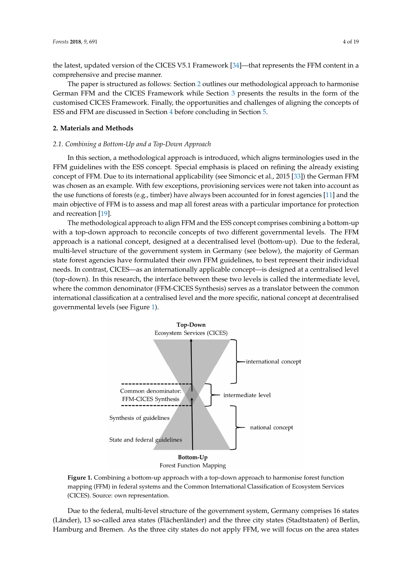the latest, updated version of the CICES V5.1 Framework [\[34\]](#page-17-10)—that represents the FFM content in a comprehensive and precise manner.

The paper is structured as follows: Section [2](#page-3-0) outlines our methodological approach to harmonise German FFM and the CICES Framework while Section [3](#page-5-0) presents the results in the form of the customised CICES Framework. Finally, the opportunities and challenges of aligning the concepts of ESS and FFM are discussed in Section [4](#page-12-0) before concluding in Section [5.](#page-15-2)

## <span id="page-3-0"></span>**2. Materials and Methods**

#### *2.1. Combining a Bottom-Up and a Top-Down Approach*

In this section, a methodological approach is introduced, which aligns terminologies used in the FFM guidelines with the ESS concept. Special emphasis is placed on refining the already existing concept of FFM. Due to its international applicability (see Simoncic et al., 2015 [\[33\]](#page-17-9)) the German FFM was chosen as an example. With few exceptions, provisioning services were not taken into account as the use functions of forests (e.g., timber) have always been accounted for in forest agencies [\[11\]](#page-16-8) and the main objective of FFM is to assess and map all forest areas with a particular importance for protection and recreation [\[19\]](#page-16-16).

The methodological approach to align FFM and the ESS concept comprises combining a bottom-up with a top-down approach to reconcile concepts of two different governmental levels. The FFM approach is a national concept, designed at a decentralised level (bottom-up). Due to the federal, multi-level structure of the government system in Germany (see below), the majority of German state forest agencies have formulated their own FFM guidelines, to best represent their individual needs. In contrast, CICES—as an internationally applicable concept—is designed at a centralised level (top-down). In this research, the interface between these two levels is called the intermediate level, where the common denominator (FFM-CICES Synthesis) serves as a translator between the common international classification at a centralised level and the more specific, national concept at decentralised governmental levels (see Figure [1\)](#page-3-1).

<span id="page-3-1"></span>



**Figure 1.** Combining a bottom-up approach with a top-down approach to harmonise forest function mapping (FFM) in federal systems and the Common International Classification of Ecosystem Services (CICES). Source: own representation.

Due to the federal, multi-level structure of the government system, Germany comprises 16 states (Länder), 13 so-called area states (Flächenländer) and the three city states (Stadtstaaten) of Berlin, Hamburg and Bremen. As the three city states do not apply FFM, we will focus on the area states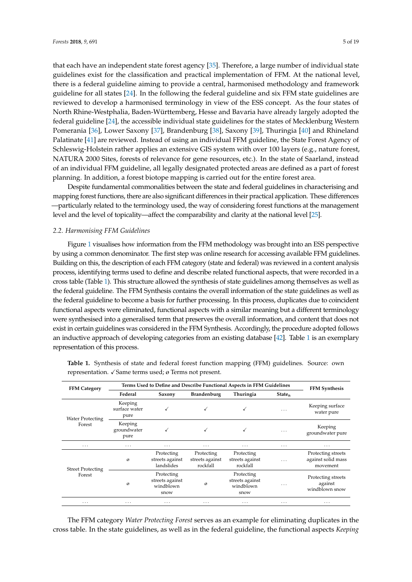that each have an independent state forest agency [\[35\]](#page-17-11). Therefore, a large number of individual state guidelines exist for the classification and practical implementation of FFM. At the national level, there is a federal guideline aiming to provide a central, harmonised methodology and framework guideline for all states [\[24\]](#page-17-0). In the following the federal guideline and six FFM state guidelines are reviewed to develop a harmonised terminology in view of the ESS concept. As the four states of North Rhine-Westphalia, Baden-Württemberg, Hesse and Bavaria have already largely adopted the federal guideline [\[24\]](#page-17-0), the accessible individual state guidelines for the states of Mecklenburg Western Pomerania [\[36\]](#page-17-12), Lower Saxony [\[37\]](#page-17-13), Brandenburg [\[38\]](#page-17-14), Saxony [\[39\]](#page-17-15), Thuringia [\[40\]](#page-17-16) and Rhineland Palatinate [\[41\]](#page-17-17) are reviewed. Instead of using an individual FFM guideline, the State Forest Agency of Schleswig-Holstein rather applies an extensive GIS system with over 100 layers (e.g., nature forest, NATURA 2000 Sites, forests of relevance for gene resources, etc.). In the state of Saarland, instead of an individual FFM guideline, all legally designated protected areas are defined as a part of forest planning. In addition, a forest biotope mapping is carried out for the entire forest area.

Despite fundamental commonalities between the state and federal guidelines in characterising and mapping forest functions, there are also significant differences in their practical application. These differences —particularly related to the terminology used, the way of considering forest functions at the management level and the level of topicality—affect the comparability and clarity at the national level [\[25\]](#page-17-1).

## *2.2. Harmonising FFM Guidelines*

Figure [1](#page-3-1) visualises how information from the FFM methodology was brought into an ESS perspective by using a common denominator. The first step was online research for accessing available FFM guidelines. Building on this, the description of each FFM category (state and federal) was reviewed in a content analysis process, identifying terms used to define and describe related functional aspects, that were recorded in a cross table (Table [1\)](#page-4-0). This structure allowed the synthesis of state guidelines among themselves as well as the federal guideline. The FFM Synthesis contains the overall information of the state guidelines as well as the federal guideline to become a basis for further processing. In this process, duplicates due to coincident functional aspects were eliminated, functional aspects with a similar meaning but a different terminology were synthesised into a generalised term that preserves the overall information, and content that does not exist in certain guidelines was considered in the FFM Synthesis. Accordingly, the procedure adopted follows an inductive approach of developing categories from an existing database [\[42\]](#page-17-18). Table [1](#page-4-0) is an exemplary representation of this process.

| <b>FFM Category</b>                | Terms Used to Define and Describe Functional Aspects in FFM Guidelines | <b>FFM Synthesis</b>                               |                                           |                                                    |                         |                                                      |
|------------------------------------|------------------------------------------------------------------------|----------------------------------------------------|-------------------------------------------|----------------------------------------------------|-------------------------|------------------------------------------------------|
|                                    | Federal                                                                | <b>Brandenburg</b><br>Saxony                       |                                           | Thuringia                                          | State <sub>n</sub>      |                                                      |
| <b>Water Protecting</b><br>Forest  | Keeping<br>surface water<br>pure                                       | √                                                  |                                           |                                                    | $\cdots$                | Keeping surface<br>water pure                        |
|                                    | Keeping<br>groundwater<br>pure                                         | √                                                  |                                           |                                                    | $\cdot$ $\cdot$ $\cdot$ | Keeping<br>groundwater pure                          |
| $\cdots$                           | $\cdots$                                                               | .                                                  | $\cdots$                                  | .                                                  | $\cdots$                | $\cdots$                                             |
|                                    | ø                                                                      | Protecting<br>streets against<br>landslides        | Protecting<br>streets against<br>rockfall | Protecting<br>streets against<br>rockfall          | $\cdots$                | Protecting streets<br>against solid mass<br>movement |
| <b>Street Protecting</b><br>Forest | ø                                                                      | Protecting<br>streets against<br>windblown<br>snow | ø                                         | Protecting<br>streets against<br>windblown<br>snow | $\cdots$                | Protecting streets<br>against<br>windblown snow      |
| $\cdots$                           | $\cdots$                                                               | $\cdots$                                           | $\cdots$                                  | $\cdots$                                           | $\cdots$                | $\cdots$                                             |

<span id="page-4-0"></span>**Table 1.** Synthesis of state and federal forest function mapping (FFM) guidelines. Source: own representation.  $\sqrt{S}$ ame terms used; ø Terms not present.

The FFM category *Water Protecting Forest* serves as an example for eliminating duplicates in the cross table. In the state guidelines, as well as in the federal guideline, the functional aspects *Keeping*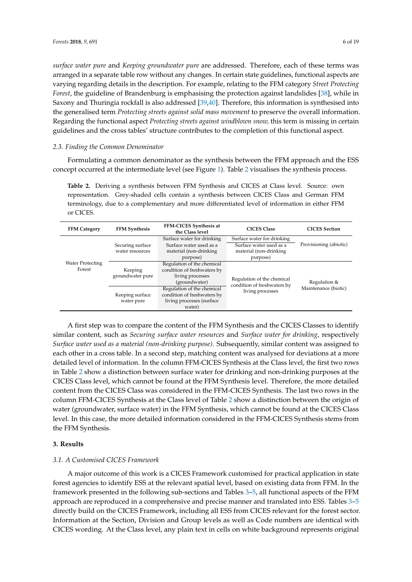*surface water pure* and *Keeping groundwater pure* are addressed. Therefore, each of these terms was arranged in a separate table row without any changes. In certain state guidelines, functional aspects are varying regarding details in the description. For example, relating to the FFM category *Street Protecting Forest*, the guideline of Brandenburg is emphasising the protection against landslides [\[38\]](#page-17-14), while in Saxony and Thuringia rockfall is also addressed [\[39,](#page-17-15)[40\]](#page-17-16). Therefore, this information is synthesised into the generalised term *Protecting streets against solid mass movement* to preserve the overall information. Regarding the functional aspect *Protecting streets against windblown snow,* this term is missing in certain guidelines and the cross tables' structure contributes to the completion of this functional aspect.

#### *2.3. Finding the Common Denominator*

Formulating a common denominator as the synthesis between the FFM approach and the ESS concept occurred at the intermediate level (see Figure [1\)](#page-3-1). Table [2](#page-5-1) visualises the synthesis process.

<span id="page-5-1"></span>**Table 2.** Deriving a synthesis between FFM Synthesis and CICES at Class level. Source: own representation. Grey-shaded cells contain a synthesis between CICES Class and German FFM terminology, due to a complementary and more differentiated level of information in either FFM or CICES.

| <b>FFM Category</b>     | <b>FFM Synthesis</b> | FFM-CICES Synthesis at<br>the Class level | <b>CICES Class</b>                                        | <b>CICES</b> Section   |
|-------------------------|----------------------|-------------------------------------------|-----------------------------------------------------------|------------------------|
|                         |                      | Surface water for drinking                | Surface water for drinking                                |                        |
|                         | Securing surface     | Surface water used as a                   | Surface water used as a                                   | Provisioning (abiotic) |
|                         | water resources      | material (non-drinking                    | material (non-drinking                                    |                        |
|                         |                      | purpose)                                  | purpose)                                                  |                        |
| <b>Water Protecting</b> |                      | Regulation of the chemical                |                                                           | Regulation &           |
| Forest                  | Keeping              | condition of freshwaters by               |                                                           |                        |
|                         | groundwater pure     | living processes                          | Regulation of the chemical<br>condition of freshwaters by |                        |
|                         |                      | (groundwater)                             |                                                           |                        |
|                         |                      | Regulation of the chemical                | living processes                                          | Maintenance (biotic)   |
|                         | Keeping surface      | condition of freshwaters by               |                                                           |                        |
|                         | water pure           | living processes (surface                 |                                                           |                        |
|                         |                      | water)                                    |                                                           |                        |

A first step was to compare the content of the FFM Synthesis and the CICES Classes to identify similar content, such as *Securing surface water resources* and *Surface water for drinking*, respectively *Surface water used as a material (non-drinking purpose)*. Subsequently, similar content was assigned to each other in a cross table. In a second step, matching content was analysed for deviations at a more detailed level of information. In the column FFM-CICES Synthesis at the Class level, the first two rows in Table [2](#page-5-1) show a distinction between surface water for drinking and non-drinking purposes at the CICES Class level, which cannot be found at the FFM Synthesis level. Therefore, the more detailed content from the CICES Class was considered in the FFM-CICES Synthesis. The last two rows in the column FFM-CICES Synthesis at the Class level of Table [2](#page-5-1) show a distinction between the origin of water (groundwater, surface water) in the FFM Synthesis, which cannot be found at the CICES Class level. In this case, the more detailed information considered in the FFM-CICES Synthesis stems from the FFM Synthesis.

## <span id="page-5-0"></span>**3. Results**

#### *3.1. A Customised CICES Framework*

A major outcome of this work is a CICES Framework customised for practical application in state forest agencies to identify ESS at the relevant spatial level, based on existing data from FFM. In the framework presented in the following sub-sections and Tables [3–](#page-7-0)[5,](#page-10-0) all functional aspects of the FFM approach are reproduced in a comprehensive and precise manner and translated into ESS. Tables [3–](#page-7-0)[5](#page-10-0) directly build on the CICES Framework, including all ESS from CICES relevant for the forest sector. Information at the Section, Division and Group levels as well as Code numbers are identical with CICES wording. At the Class level, any plain text in cells on white background represents original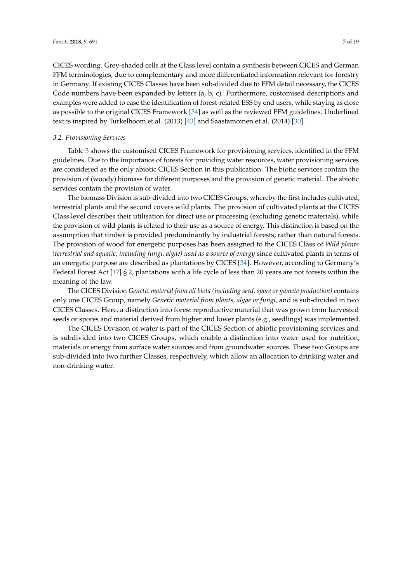CICES wording. Grey-shaded cells at the Class level contain a synthesis between CICES and German FFM terminologies, due to complementary and more differentiated information relevant for forestry in Germany. If existing CICES Classes have been sub-divided due to FFM detail necessary, the CICES Code numbers have been expanded by letters (a, b, c). Furthermore, customised descriptions and examples were added to ease the identification of forest-related ESS by end users, while staying as close as possible to the original CICES Framework [\[34\]](#page-17-10) as well as the reviewed FFM guidelines. Underlined text is inspired by Turkelboom et al. (2013) [\[43\]](#page-18-0) and Saastamoinen et al. (2014) [\[30\]](#page-17-6).

## *3.2. Provisioning Services*

Table [3](#page-7-0) shows the customised CICES Framework for provisioning services, identified in the FFM guidelines. Due to the importance of forests for providing water resources, water provisioning services are considered as the only abiotic CICES Section in this publication. The biotic services contain the provision of (woody) biomass for different purposes and the provision of genetic material. The abiotic services contain the provision of water.

The biomass Division is sub-divided into two CICES Groups, whereby the first includes cultivated, terrestrial plants and the second covers wild plants. The provision of cultivated plants at the CICES Class level describes their utilisation for direct use or processing (excluding genetic materials), while the provision of wild plants is related to their use as a source of energy. This distinction is based on the assumption that timber is provided predominantly by industrial forests, rather than natural forests. The provision of wood for energetic purposes has been assigned to the CICES Class of *Wild plants (terrestrial and aquatic, including fungi, algae) used as a source of energy* since cultivated plants in terms of an energetic purpose are described as plantations by CICES [\[34\]](#page-17-10). However, according to Germany's Federal Forest Act [\[17\]](#page-16-14) § 2, plantations with a life cycle of less than 20 years are not forests within the meaning of the law.

The CICES Division *Genetic material from all biota (including seed, spore or gamete production)* contains only one CICES Group, namely *Genetic material from plants, algae or fungi*, and is sub-divided in two CICES Classes. Here, a distinction into forest reproductive material that was grown from harvested seeds or spores and material derived from higher and lower plants (e.g., seedlings) was implemented.

The CICES Division of water is part of the CICES Section of abiotic provisioning services and is subdivided into two CICES Groups, which enable a distinction into water used for nutrition, materials or energy from surface water sources and from groundwater sources. These two Groups are sub-divided into two further Classes, respectively, which allow an allocation to drinking water and non-drinking water.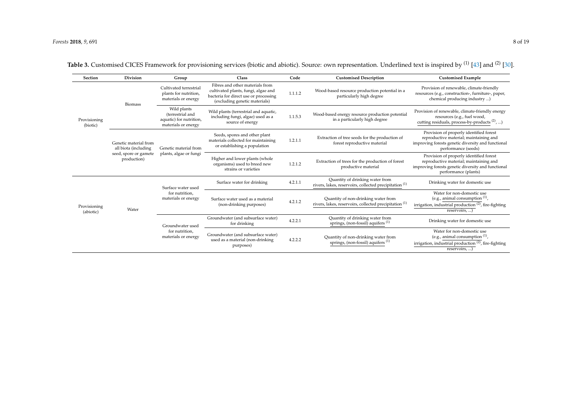<span id="page-7-0"></span>

| Section                   | Division                                                                              | Group                                                                             | Class                                                                                                                                            | Code                                                                                | <b>Customised Description</b>                                                                        | <b>Customised Example</b>                                                                                                                                       |                                                                                                                                                      |
|---------------------------|---------------------------------------------------------------------------------------|-----------------------------------------------------------------------------------|--------------------------------------------------------------------------------------------------------------------------------------------------|-------------------------------------------------------------------------------------|------------------------------------------------------------------------------------------------------|-----------------------------------------------------------------------------------------------------------------------------------------------------------------|------------------------------------------------------------------------------------------------------------------------------------------------------|
| Provisioning<br>(biotic)  | <b>Biomass</b>                                                                        | Cultivated terrestrial<br>plants for nutrition,<br>materials or energy            | Fibres and other materials from<br>cultivated plants, fungi, algae and<br>bacteria for direct use or processing<br>(excluding genetic materials) | 1.1.1.2                                                                             | Wood-based resource production potential in a<br>particularly high degree                            | Provision of renewable, climate-friendly<br>resources (e.g., construction-, furniture-, paper,<br>chemical producing industry )                                 |                                                                                                                                                      |
|                           |                                                                                       | Wild plants<br>(terrestrial and<br>aquatic) for nutrition,<br>materials or energy | Wild plants (terrestrial and aquatic,<br>including fungi, algae) used as a<br>source of energy                                                   | 1.1.5.3                                                                             | Wood-based energy resource production potential<br>in a particularly high degree                     | Provision of renewable, climate-friendly energy<br>resources (e.g., fuel wood,<br>cutting residuals, process-by-products <sup>(2)</sup> , )                     |                                                                                                                                                      |
|                           | Genetic material from<br>all biota (including<br>seed, spore or gamete<br>production) | Genetic material from<br>plants, algae or fungi                                   | Seeds, spores and other plant<br>materials collected for maintaining<br>or establishing a population                                             | 1.2.1.1                                                                             | Extraction of tree seeds for the production of<br>forest reproductive material                       | Provision of properly identified forest<br>reproductive material; maintaining and<br>improving forests genetic diversity and functional<br>performance (seeds)  |                                                                                                                                                      |
|                           |                                                                                       |                                                                                   | Higher and lower plants (whole<br>organisms) used to breed new<br>strains or varieties                                                           | 1.2.1.2                                                                             | Extraction of trees for the production of forest<br>productive material                              | Provision of properly identified forest<br>reproductive material; maintaining and<br>improving forests genetic diversity and functional<br>performance (plants) |                                                                                                                                                      |
| Provisioning<br>(abiotic) | Water                                                                                 | Surface water used                                                                | Surface water for drinking                                                                                                                       | 4.2.1.1                                                                             | Quantity of drinking water from<br>rivers, lakes, reservoirs, collected precipitation <sup>(1)</sup> | Drinking water for domestic use                                                                                                                                 |                                                                                                                                                      |
|                           |                                                                                       |                                                                                   | for nutrition,<br>materials or energy                                                                                                            | Surface water used as a material<br>(non-drinking purposes)                         | 4.2.1.2                                                                                              | Quantity of non-drinking water from<br>rivers, lakes, reservoirs, collected precipitation <sup>(1)</sup>                                                        | Water for non-domestic use<br>(e.g., animal consumption $(1)$ ,<br>irrigation, industrial production $(2)$ , fire-fighting<br>$reservoir, \ldots)$   |
|                           |                                                                                       | Groundwater used                                                                  | Groundwater (and subsurface water)<br>for drinking                                                                                               | 4.2.2.1                                                                             | Quantity of drinking water from<br>springs, (non-fossil) aquifers <sup>(1)</sup>                     | Drinking water for domestic use                                                                                                                                 |                                                                                                                                                      |
|                           |                                                                                       |                                                                                   | for nutrition,<br>materials or energy                                                                                                            | Groundwater (and subsurface water)<br>used as a material (non-drinking<br>purposes) | 4.2.2.2                                                                                              | Quantity of non-drinking water from<br>springs, (non-fossil) aquifers $(1)$                                                                                     | Water for non-domestic use<br>(e.g., animal consumption $(1)$ ,<br>irrigation, industrial production <sup>(2)</sup> , fire-fighting<br>reservoirs, ) |

Table 3. Customised CICES Framework for provisioning services (biotic and abiotic). Source: own representation. Underlined text is inspired by <sup>(1)</sup> [\[43\]](#page-18-1) and <sup>(2)</sup> [\[30\]](#page-17-19).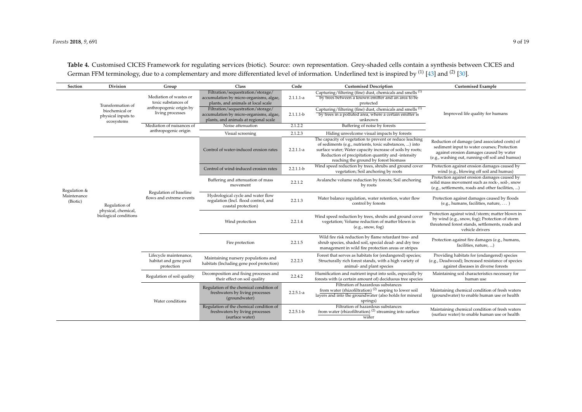<span id="page-8-0"></span>

| Section                                 | <b>Division</b>                                                         |                                                                                              | Class                                                                                                                 | Code        | <b>Customised Description</b>                                                                                                                                                                                                                                                   | <b>Customised Example</b>                                                                                                                                                                  |
|-----------------------------------------|-------------------------------------------------------------------------|----------------------------------------------------------------------------------------------|-----------------------------------------------------------------------------------------------------------------------|-------------|---------------------------------------------------------------------------------------------------------------------------------------------------------------------------------------------------------------------------------------------------------------------------------|--------------------------------------------------------------------------------------------------------------------------------------------------------------------------------------------|
|                                         |                                                                         | Group                                                                                        | Filtration/sequestration/storage/                                                                                     |             | Capturing/filtering (fine) dust, chemicals and smells <sup>(1)</sup>                                                                                                                                                                                                            |                                                                                                                                                                                            |
|                                         | Transformation of<br>biochemical or<br>physical inputs to<br>ecosystems | Mediation of wastes or<br>toxic substances of<br>anthropogenic origin by<br>living processes | accumulation by micro-organisms, algae,<br>plants, and animals at local scale                                         | $2.1.1.1-a$ | by trees between a known emitter and an area to be<br>protected                                                                                                                                                                                                                 |                                                                                                                                                                                            |
|                                         |                                                                         |                                                                                              | Filtration/sequestration/storage/<br>accumulation by micro-organisms, algae,<br>plants, and animals at regional scale | $2.1.1.1-b$ | Capturing/filtering (fine) dust, chemicals and smells <sup>(1)</sup><br>by trees in a polluted area, where a certain emitter is<br>unknown                                                                                                                                      | Improved life quality for humans                                                                                                                                                           |
|                                         |                                                                         | Mediation of nuisances of<br>anthropogenic origin                                            | Noise attenuation                                                                                                     | 2.1.2.2     | Buffering of noise by forests                                                                                                                                                                                                                                                   |                                                                                                                                                                                            |
|                                         |                                                                         |                                                                                              | Visual screening                                                                                                      | 2.1.2.3     | Hiding unwelcome visual impacts by forests                                                                                                                                                                                                                                      |                                                                                                                                                                                            |
|                                         |                                                                         | Regulation of baseline<br>flows and extreme events                                           | Control of water-induced erosion rates                                                                                | $2.2.1.1-a$ | The capacity of vegetation to prevent or reduce leaching<br>of sediments (e.g., nutrients, toxic substances, ) into<br>surface water; Water capacity increase of soils by roots;<br>Reduction of precipitation quantity and -intensity<br>reaching the ground by forest biomass | Reduction of damage (and associated costs) of<br>sediment input to water courses; Protection<br>against erosion damages caused by water<br>(e.g., washing out, running-off soil and humus) |
|                                         |                                                                         |                                                                                              | Control of wind-induced erosion rates                                                                                 | $2.2.1.1-b$ | Wind speed reduction by trees, shrubs and ground cover<br>vegetation; Soil anchoring by roots                                                                                                                                                                                   | Protection against erosion damages caused by<br>wind (e.g., blowing off soil and humus)                                                                                                    |
| Regulation &<br>Maintenance<br>(Biotic) | Regulation of<br>physical, chemical,<br>biological conditions           |                                                                                              | Buffering and attenuation of mass<br>movement                                                                         | 2.2.1.2     | Avalanche volume reduction by forests; Soil anchoring<br>by roots                                                                                                                                                                                                               | Protection against erosion damages caused by<br>solid mass movement such as rock-, soil-, snow<br>(e.g., settlements, roads and other facilities, )                                        |
|                                         |                                                                         |                                                                                              | Hydrological cycle and water flow<br>regulation (Incl. flood control, and<br>coastal protection)                      | 2.2.1.3     | Water balance regulation, water retention, water flow<br>control by forests                                                                                                                                                                                                     | Protection against damages caused by floods<br>(e.g., humans, facilities, nature, )                                                                                                        |
|                                         |                                                                         |                                                                                              | Wind protection                                                                                                       | 2.2.1.4     | Wind speed reduction by trees, shrubs and ground cover<br>vegetation; Volume reduction of matter blown in<br>(e.g., snow, fog)                                                                                                                                                  | Protection against wind/storm; matter blown in<br>by wind (e.g., snow, fog); Protection of storm<br>threatened forest stands, settlements, roads and<br>vehicle drivers                    |
|                                         |                                                                         |                                                                                              | Fire protection                                                                                                       | 2.2.1.5     | Wild fire risk reduction by flame retardant tree- and<br>shrub species, shaded soil, special dead- and dry tree<br>management in wild fire protection areas or stripes                                                                                                          | Protection against fire damages (e.g., humans,<br>facilities, nature, )                                                                                                                    |
|                                         |                                                                         | Lifecycle maintenance,<br>habitat and gene pool<br>protection                                | Maintaining nursery populations and<br>habitats (Including gene pool protection)                                      | 2.2.2.3     | Forest that serves as habitats for (endangered) species;<br>Structurally rich forest stands, with a high variety of<br>animal- and plant species                                                                                                                                | Providing habitats for (endangered) species<br>(e.g., Deadwood); Increased resistance of species<br>against diseases in diverse forests                                                    |
|                                         |                                                                         | Regulation of soil quality                                                                   | Decomposition and fixing processes and<br>their effect on soil quality                                                | 2.2.4.2     | Humification and nutrient input into soils, especially by<br>forests with (a certain amount of) deciduous tree species                                                                                                                                                          | Maintaining soil characteristics necessary for<br>human use                                                                                                                                |
|                                         |                                                                         | Water conditions                                                                             | Regulation of the chemical condition of<br>freshwaters by living processes<br>(groundwater)                           | $2.2.5.1-a$ | Filtration of hazardous substances<br>from water (rhizofiltration) <sup>(2)</sup> seeping to lower soil<br>layers and into the groundwater (also holds for mineral<br>springs)                                                                                                  | Maintaining chemical condition of fresh waters<br>(groundwater) to enable human use or health                                                                                              |
|                                         |                                                                         |                                                                                              | Regulation of the chemical condition of<br>freshwaters by living processes<br>(surface water)                         | $2.2.5.1-b$ | Filtration of hazardous substances<br>from water (rhizofiltration) $(2)$ streaming into surface<br>water                                                                                                                                                                        | Maintaining chemical condition of fresh waters<br>(surface water) to enable human use or health                                                                                            |

**Table 4.** Customised CICES Framework for regulating services (biotic). Source: own representation. Grey-shaded cells contain a synthesis between CICES and German FFM terminology, due to a complementary and more differentiated level of information. Underlined text is inspired by <sup>(1)</sup> [\[43\]](#page-18-1) and <sup>(2)</sup> [\[30\]](#page-17-19).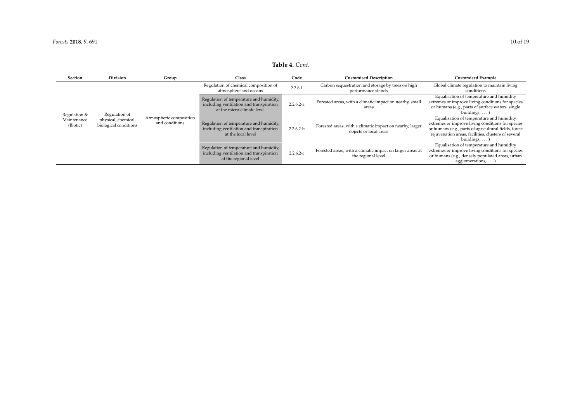## **Table 4.** *Cont.*

| Section                                 | <b>Division</b>                                               | Group                                     | Class                                                                                                            | Code        | <b>Customised Description</b>                                                      | <b>Customised Example</b>                                                                                                                                                                                                           |
|-----------------------------------------|---------------------------------------------------------------|-------------------------------------------|------------------------------------------------------------------------------------------------------------------|-------------|------------------------------------------------------------------------------------|-------------------------------------------------------------------------------------------------------------------------------------------------------------------------------------------------------------------------------------|
| Regulation &<br>Maintenance<br>(Biotic) | Regulation of<br>physical, chemical,<br>biological conditions | Atmospheric composition<br>and conditions | Regulation of chemical composition of<br>atmosphere and oceans                                                   | 2.2.6.1     | Carbon sequestration and storage by trees on high<br>performance stands            | Global climate regulation to maintain living<br>conditions                                                                                                                                                                          |
|                                         |                                                               |                                           | Regulation of temperature and humidity,<br>including ventilation and transpiration<br>at the micro-climate level | $2.2.6.2-a$ | Forested areas, with a climatic impact on nearby, small<br>areas                   | Equalisation of temperature and humidity<br>extremes or improve living conditions for species<br>or humans (e.g., parts of surface waters, single<br>buildings, $\dots$ )                                                           |
|                                         |                                                               |                                           | Regulation of temperature and humidity,<br>including ventilation and transpiration<br>at the local level         | $2.2.6.2-b$ | Forested areas, with a climatic impact on nearby, larger<br>objects or local areas | Equalisation of temperature and humidity<br>extremes or improve living conditions for species<br>or humans (e.g., parts of agricultural fields, forest<br>rejuvenation areas, facilities, clusters of several<br>buildings, $\dots$ |
|                                         |                                                               |                                           | Regulation of temperature and humidity,<br>including ventilation and transpiration<br>at the regional level      | $2.2.6.2-c$ | Forested areas, with a climatic impact on larger areas at<br>the regional level    | Equalisation of temperature and humidity<br>extremes or improve living conditions for species<br>or humans (e.g., densely populated areas, urban<br>agglomerations,                                                                 |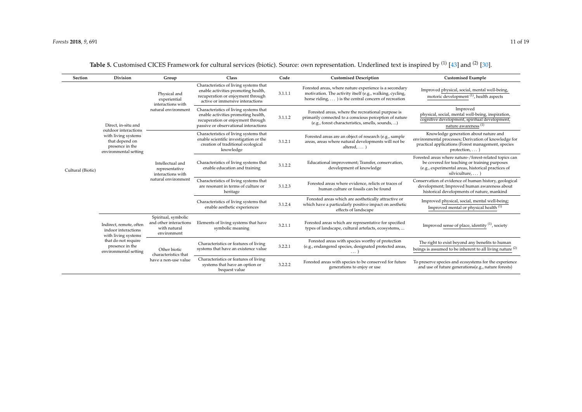<span id="page-10-0"></span>

| Section           | <b>Division</b>                                                                                                                          | Group                                                                          | Class                                                                                                                                                       | Code    | <b>Customised Description</b>                                                                                                                                               | <b>Customised Example</b>                                                                                                                                                        |
|-------------------|------------------------------------------------------------------------------------------------------------------------------------------|--------------------------------------------------------------------------------|-------------------------------------------------------------------------------------------------------------------------------------------------------------|---------|-----------------------------------------------------------------------------------------------------------------------------------------------------------------------------|----------------------------------------------------------------------------------------------------------------------------------------------------------------------------------|
| Cultural (Biotic) | Direct, in-situ and<br>outdoor interactions<br>with living systems<br>that depend on<br>presence in the<br>environmental setting         | Physical and<br>experiential<br>interactions with<br>natural environment       | Characteristics of living systems that<br>enable activities promoting health,<br>recuperation or enjoyment through<br>active or immersive interactions      | 3.1.1.1 | Forested areas, where nature experience is a secondary<br>motivation. The activity itself (e.g., walking, cycling,<br>horse riding,  ) is the central concern of recreation | Improved physical, social, mental well-being,<br>motoric development <sup>(1)</sup> , health aspects                                                                             |
|                   |                                                                                                                                          |                                                                                | Characteristics of living systems that<br>enable activities promoting health,<br>recuperation or enjoyment through<br>passive or observational interactions | 3.1.1.2 | Forested areas, where the recreational purpose is<br>primarily connected to a conscious perception of nature<br>(e.g., forest characteristics, smells, sounds, )            | Improved<br>physical, social, mental well-being, inspiration,<br>cognitive development, spiritual development,<br>nature awareness <sup>(1)</sup>                                |
|                   |                                                                                                                                          | Intellectual and<br>representative<br>interactions with<br>natural environment | Characteristics of living systems that<br>enable scientific investigation or the<br>creation of traditional ecological<br>knowledge                         | 3.1.2.1 | Forested areas are an object of research (e.g., sample<br>areas, areas where natural developments will not be<br>altered, $\dots$ )                                         | Knowledge generation about nature and<br>environmental processes; Derivation of knowledge for<br>practical applications (Forest management, species<br>$protection, \ldots)$     |
|                   |                                                                                                                                          |                                                                                | Characteristics of living systems that<br>enable education and training                                                                                     | 3.1.2.2 | Educational improvement; Transfer, conservation,<br>development of knowledge                                                                                                | Forested areas where nature-/forest-related topics can<br>be covered for teaching or training purposes<br>(e.g., experimental areas, historical practices of<br>silviculture,  ) |
|                   |                                                                                                                                          |                                                                                | Characteristics of living systems that<br>are resonant in terms of culture or<br>heritage                                                                   | 3.1.2.3 | Forested areas where evidence, relicts or traces of<br>human culture or fossils can be found                                                                                | Conservation of evidence of human history, geological<br>development; Improved human awareness about<br>historical developments of nature, mankind                               |
|                   |                                                                                                                                          |                                                                                | Characteristics of living systems that<br>enable aesthetic experiences                                                                                      | 3.1.2.4 | Forested areas which are aesthetically attractive or<br>which have a particularly positive impact on aesthetic<br>effects of landscape                                      | Improved physical, social, mental well-being;<br>Improved mental or physical health <sup>(1)</sup>                                                                               |
|                   | Indirect, remote, often<br>indoor interactions<br>with living systems<br>that do not require<br>presence in the<br>environmental setting | Spiritual, symbolic<br>and other interactions<br>with natural<br>environment   | Elements of living systems that have<br>symbolic meaning                                                                                                    | 3.2.1.1 | Forested areas which are representative for specified<br>types of landscape, cultural artefacts, ecosystems,                                                                | Improved sense of place, identity <sup>(1)</sup> , society                                                                                                                       |
|                   |                                                                                                                                          | Other biotic<br>characteristics that<br>have a non-use value                   | Characteristics or features of living<br>systems that have an existence value                                                                               | 3.2.2.1 | Forested areas with species worthy of protection<br>(e.g., endangered species, designated protected areas,                                                                  | The right to exist beyond any benefits to human<br>beings is assumed to be inherent to all living nature $(2)$                                                                   |
|                   |                                                                                                                                          |                                                                                | Characteristics or features of living<br>systems that have an option or<br>bequest value                                                                    | 3.2.2.2 | Forested areas with species to be conserved for future<br>generations to enjoy or use                                                                                       | To preserve species and ecosystems for the experience<br>and use of future generations(e.g., nature forests)                                                                     |

Table 5. Customised CICES Framework for cultural services (biotic). Source: own representation. Underlined text is inspired by <sup>(1)</sup> [\[43\]](#page-18-1) and <sup>(2)</sup> [\[30\]](#page-17-19).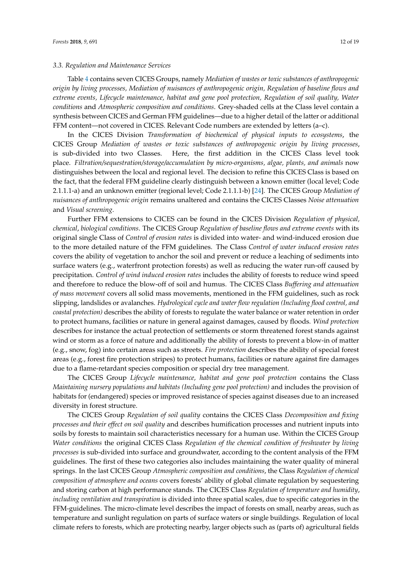#### *3.3. Regulation and Maintenance Services*

Table [4](#page-8-0) contains seven CICES Groups, namely *Mediation of wastes or toxic substances of anthropogenic origin by living processes, Mediation of nuisances of anthropogenic origin, Regulation of baseline flows and extreme events, Lifecycle maintenance, habitat and gene pool protection, Regulation of soil quality, Water conditions* and *Atmospheric composition and conditions*. Grey-shaded cells at the Class level contain a synthesis between CICES and German FFM guidelines—due to a higher detail of the latter or additional FFM content—not covered in CICES. Relevant Code numbers are extended by letters (a–c).

In the CICES Division *Transformation of biochemical of physical inputs to ecosystems*, the CICES Group *Mediation of wastes or toxic substances of anthropogenic origin by living processes*, is sub-divided into two Classes. Here, the first addition in the CICES Class level took place. *Filtration/sequestration/storage/accumulation by micro-organisms, algae, plants, and animals* now distinguishes between the local and regional level. The decision to refine this CICES Class is based on the fact, that the federal FFM guideline clearly distinguish between a known emitter (local level; Code 2.1.1.1-a) and an unknown emitter (regional level; Code 2.1.1.1-b) [\[24\]](#page-17-0). The CICES Group *Mediation of nuisances of anthropogenic origin* remains unaltered and contains the CICES Classes *Noise attenuation* and *Visual screening*.

Further FFM extensions to CICES can be found in the CICES Division *Regulation of physical, chemical*, *biological conditions*. The CICES Group *Regulation of baseline flows and extreme events* with its original single Class of *Control of erosion rates* is divided into water- and wind-induced erosion due to the more detailed nature of the FFM guidelines. The Class *Control of water induced erosion rates* covers the ability of vegetation to anchor the soil and prevent or reduce a leaching of sediments into surface waters (e.g., waterfront protection forests) as well as reducing the water run-off caused by precipitation. *Control of wind induced erosion rates* includes the ability of forests to reduce wind speed and therefore to reduce the blow-off of soil and humus. The CICES Class *Buffering and attenuation of mass movement* covers all solid mass movements, mentioned in the FFM guidelines, such as rock slipping, landslides or avalanches. *Hydrological cycle and water flow regulation (Including flood control, and coastal protection)* describes the ability of forests to regulate the water balance or water retention in order to protect humans, facilities or nature in general against damages, caused by floods. *Wind protection* describes for instance the actual protection of settlements or storm threatened forest stands against wind or storm as a force of nature and additionally the ability of forests to prevent a blow-in of matter (e.g., snow, fog) into certain areas such as streets. *Fire protection* describes the ability of special forest areas (e.g., forest fire protection stripes) to protect humans, facilities or nature against fire damages due to a flame-retardant species composition or special dry tree management.

The CICES Group *Lifecycle maintenance, habitat and gene pool protection* contains the Class *Maintaining nursery populations and habitats (Including gene pool protection)* and includes the provision of habitats for (endangered) species or improved resistance of species against diseases due to an increased diversity in forest structure.

The CICES Group *Regulation of soil quality* contains the CICES Class *Decomposition and fixing processes and their effect on soil quality* and describes humification processes and nutrient inputs into soils by forests to maintain soil characteristics necessary for a human use. Within the CICES Group *Water conditions* the original CICES Class *Regulation of the chemical condition of freshwater by living processes* is sub-divided into surface and groundwater, according to the content analysis of the FFM guidelines. The first of these two categories also includes maintaining the water quality of mineral springs. In the last CICES Group *Atmospheric composition and conditions*, the Class *Regulation of chemical composition of atmosphere and oceans* covers forests' ability of global climate regulation by sequestering and storing carbon at high performance stands. The CICES Class *Regulation of temperature and humidity*, *including ventilation and transpiration* is divided into three spatial scales, due to specific categories in the FFM-guidelines. The micro-climate level describes the impact of forests on small, nearby areas, such as temperature and sunlight regulation on parts of surface waters or single buildings. Regulation of local climate refers to forests, which are protecting nearby, larger objects such as (parts of) agricultural fields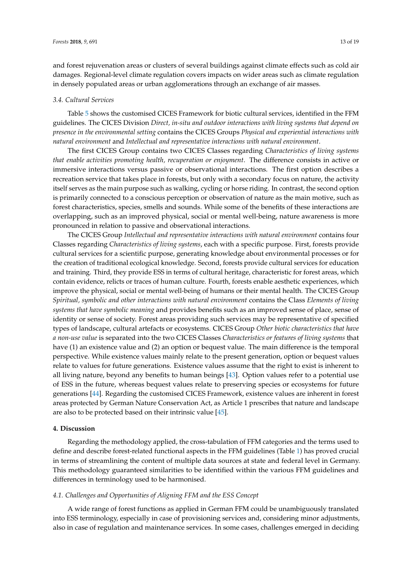and forest rejuvenation areas or clusters of several buildings against climate effects such as cold air damages. Regional-level climate regulation covers impacts on wider areas such as climate regulation in densely populated areas or urban agglomerations through an exchange of air masses.

#### *3.4. Cultural Services*

Table [5](#page-10-0) shows the customised CICES Framework for biotic cultural services, identified in the FFM guidelines. The CICES Division *Direct, in-situ and outdoor interactions with living systems that depend on presence in the environmental setting* contains the CICES Groups *Physical and experiential interactions with natural environment* and *Intellectual and representative interactions with natural environment*.

The first CICES Group contains two CICES Classes regarding *Characteristics of living systems that enable activities promoting health, recuperation or enjoyment*. The difference consists in active or immersive interactions versus passive or observational interactions. The first option describes a recreation service that takes place in forests, but only with a secondary focus on nature, the activity itself serves as the main purpose such as walking, cycling or horse riding. In contrast, the second option is primarily connected to a conscious perception or observation of nature as the main motive, such as forest characteristics, species, smells and sounds. While some of the benefits of these interactions are overlapping, such as an improved physical, social or mental well-being, nature awareness is more pronounced in relation to passive and observational interactions.

The CICES Group *Intellectual and representative interactions with natural environment* contains four Classes regarding *Characteristics of living systems*, each with a specific purpose. First, forests provide cultural services for a scientific purpose, generating knowledge about environmental processes or for the creation of traditional ecological knowledge. Second, forests provide cultural services for education and training. Third, they provide ESS in terms of cultural heritage, characteristic for forest areas, which contain evidence, relicts or traces of human culture. Fourth, forests enable aesthetic experiences, which improve the physical, social or mental well-being of humans or their mental health. The CICES Group *Spiritual, symbolic and other interactions with natural environment* contains the Class *Elements of living systems that have symbolic meaning* and provides benefits such as an improved sense of place, sense of identity or sense of society. Forest areas providing such services may be representative of specified types of landscape, cultural artefacts or ecosystems. CICES Group *Other biotic characteristics that have a non-use value* is separated into the two CICES Classes *Characteristics or features of living systems* that have (1) an existence value and (2) an option or bequest value. The main difference is the temporal perspective. While existence values mainly relate to the present generation, option or bequest values relate to values for future generations. Existence values assume that the right to exist is inherent to all living nature, beyond any benefits to human beings [\[43\]](#page-18-0). Option values refer to a potential use of ESS in the future, whereas bequest values relate to preserving species or ecosystems for future generations [\[44\]](#page-18-2). Regarding the customised CICES Framework, existence values are inherent in forest areas protected by German Nature Conservation Act, as Article 1 prescribes that nature and landscape are also to be protected based on their intrinsic value [\[45\]](#page-18-3).

## <span id="page-12-0"></span>**4. Discussion**

Regarding the methodology applied, the cross-tabulation of FFM categories and the terms used to define and describe forest-related functional aspects in the FFM guidelines (Table [1\)](#page-4-0) has proved crucial in terms of streamlining the content of multiple data sources at state and federal level in Germany. This methodology guaranteed similarities to be identified within the various FFM guidelines and differences in terminology used to be harmonised.

#### *4.1. Challenges and Opportunities of Aligning FFM and the ESS Concept*

A wide range of forest functions as applied in German FFM could be unambiguously translated into ESS terminology, especially in case of provisioning services and, considering minor adjustments, also in case of regulation and maintenance services. In some cases, challenges emerged in deciding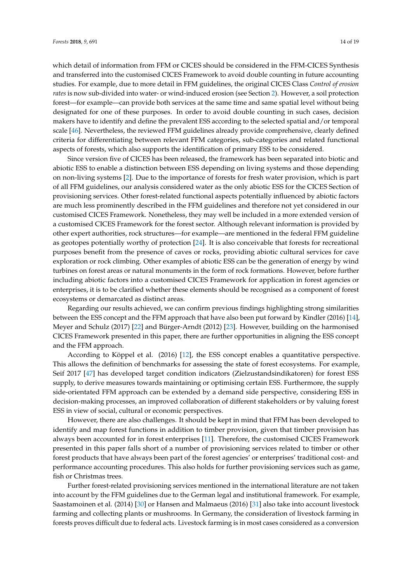which detail of information from FFM or CICES should be considered in the FFM-CICES Synthesis and transferred into the customised CICES Framework to avoid double counting in future accounting studies. For example, due to more detail in FFM guidelines, the original CICES Class *Control of erosion rates* is now sub-divided into water- or wind-induced erosion (see Section [2\)](#page-3-0). However, a soil protection forest—for example—can provide both services at the same time and same spatial level without being designated for one of these purposes. In order to avoid double counting in such cases, decision makers have to identify and define the prevalent ESS according to the selected spatial and/or temporal scale [\[46\]](#page-18-4). Nevertheless, the reviewed FFM guidelines already provide comprehensive, clearly defined criteria for differentiating between relevant FFM categories, sub-categories and related functional aspects of forests, which also supports the identification of primary ESS to be considered.

Since version five of CICES has been released, the framework has been separated into biotic and abiotic ESS to enable a distinction between ESS depending on living systems and those depending on non-living systems [\[2\]](#page-15-1). Due to the importance of forests for fresh water provision, which is part of all FFM guidelines, our analysis considered water as the only abiotic ESS for the CICES Section of provisioning services. Other forest-related functional aspects potentially influenced by abiotic factors are much less prominently described in the FFM guidelines and therefore not yet considered in our customised CICES Framework. Nonetheless, they may well be included in a more extended version of a customised CICES Framework for the forest sector. Although relevant information is provided by other expert authorities, rock structures—for example—are mentioned in the federal FFM guideline as geotopes potentially worthy of protection [\[24\]](#page-17-0). It is also conceivable that forests for recreational purposes benefit from the presence of caves or rocks, providing abiotic cultural services for cave exploration or rock climbing. Other examples of abiotic ESS can be the generation of energy by wind turbines on forest areas or natural monuments in the form of rock formations. However, before further including abiotic factors into a customised CICES Framework for application in forest agencies or enterprises, it is to be clarified whether these elements should be recognised as a component of forest ecosystems or demarcated as distinct areas.

Regarding our results achieved, we can confirm previous findings highlighting strong similarities between the ESS concept and the FFM approach that have also been put forward by Kindler (2016) [\[14\]](#page-16-11), Meyer and Schulz (2017) [\[22\]](#page-16-19) and Bürger-Arndt (2012) [\[23\]](#page-16-20). However, building on the harmonised CICES Framework presented in this paper, there are further opportunities in aligning the ESS concept and the FFM approach.

According to Köppel et al. (2016) [\[12\]](#page-16-9), the ESS concept enables a quantitative perspective. This allows the definition of benchmarks for assessing the state of forest ecosystems. For example, Seif 2017 [\[47\]](#page-18-5) has developed target condition indicators (Zielzustandsindikatoren) for forest ESS supply, to derive measures towards maintaining or optimising certain ESS. Furthermore, the supply side-orientated FFM approach can be extended by a demand side perspective, considering ESS in decision-making processes, an improved collaboration of different stakeholders or by valuing forest ESS in view of social, cultural or economic perspectives.

However, there are also challenges. It should be kept in mind that FFM has been developed to identify and map forest functions in addition to timber provision, given that timber provision has always been accounted for in forest enterprises [\[11\]](#page-16-8). Therefore, the customised CICES Framework presented in this paper falls short of a number of provisioning services related to timber or other forest products that have always been part of the forest agencies' or enterprises' traditional cost- and performance accounting procedures. This also holds for further provisioning services such as game, fish or Christmas trees.

Further forest-related provisioning services mentioned in the international literature are not taken into account by the FFM guidelines due to the German legal and institutional framework. For example, Saastamoinen et al. (2014) [\[30\]](#page-17-6) or Hansen and Malmaeus (2016) [\[31\]](#page-17-7) also take into account livestock farming and collecting plants or mushrooms. In Germany, the consideration of livestock farming in forests proves difficult due to federal acts. Livestock farming is in most cases considered as a conversion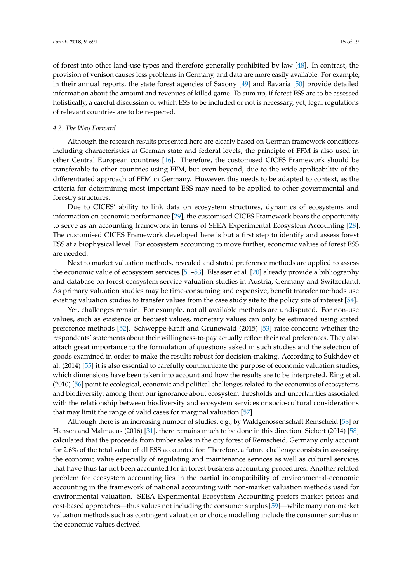of forest into other land-use types and therefore generally prohibited by law [\[48\]](#page-18-6). In contrast, the provision of venison causes less problems in Germany, and data are more easily available. For example, in their annual reports, the state forest agencies of Saxony [\[49\]](#page-18-7) and Bavaria [\[50\]](#page-18-8) provide detailed information about the amount and revenues of killed game. To sum up, if forest ESS are to be assessed holistically, a careful discussion of which ESS to be included or not is necessary, yet, legal regulations of relevant countries are to be respected.

#### *4.2. The Way Forward*

Although the research results presented here are clearly based on German framework conditions including characteristics at German state and federal levels, the principle of FFM is also used in other Central European countries [\[16\]](#page-16-13). Therefore, the customised CICES Framework should be transferable to other countries using FFM, but even beyond, due to the wide applicability of the differentiated approach of FFM in Germany. However, this needs to be adapted to context, as the criteria for determining most important ESS may need to be applied to other governmental and forestry structures.

Due to CICES' ability to link data on ecosystem structures, dynamics of ecosystems and information on economic performance [\[29\]](#page-17-5), the customised CICES Framework bears the opportunity to serve as an accounting framework in terms of SEEA Experimental Ecosystem Accounting [\[28\]](#page-17-4). The customised CICES Framework developed here is but a first step to identify and assess forest ESS at a biophysical level. For ecosystem accounting to move further, economic values of forest ESS are needed.

Next to market valuation methods, revealed and stated preference methods are applied to assess the economic value of ecosystem services [\[51–](#page-18-9)[53\]](#page-18-10). Elsasser et al. [\[20\]](#page-16-17) already provide a bibliography and database on forest ecosystem service valuation studies in Austria, Germany and Switzerland. As primary valuation studies may be time-consuming and expensive, benefit transfer methods use existing valuation studies to transfer values from the case study site to the policy site of interest [\[54\]](#page-18-11).

Yet, challenges remain. For example, not all available methods are undisputed. For non-use values, such as existence or bequest values, monetary values can only be estimated using stated preference methods [\[52\]](#page-18-12). Schweppe-Kraft and Grunewald (2015) [\[53\]](#page-18-10) raise concerns whether the respondents' statements about their willingness-to-pay actually reflect their real preferences. They also attach great importance to the formulation of questions asked in such studies and the selection of goods examined in order to make the results robust for decision-making. According to Sukhdev et al. (2014) [\[55\]](#page-18-13) it is also essential to carefully communicate the purpose of economic valuation studies, which dimensions have been taken into account and how the results are to be interpreted. Ring et al. (2010) [\[56\]](#page-18-14) point to ecological, economic and political challenges related to the economics of ecosystems and biodiversity; among them our ignorance about ecosystem thresholds and uncertainties associated with the relationship between biodiversity and ecosystem services or socio-cultural considerations that may limit the range of valid cases for marginal valuation [\[57\]](#page-18-15).

Although there is an increasing number of studies, e.g., by Waldgenossenschaft Remscheid [\[58\]](#page-18-16) or Hansen and Malmaeus (2016) [\[31\]](#page-17-7), there remains much to be done in this direction. Siebert (2014) [\[58\]](#page-18-16) calculated that the proceeds from timber sales in the city forest of Remscheid, Germany only account for 2.6% of the total value of all ESS accounted for. Therefore, a future challenge consists in assessing the economic value especially of regulating and maintenance services as well as cultural services that have thus far not been accounted for in forest business accounting procedures. Another related problem for ecosystem accounting lies in the partial incompatibility of environmental-economic accounting in the framework of national accounting with non-market valuation methods used for environmental valuation. SEEA Experimental Ecosystem Accounting prefers market prices and cost-based approaches—thus values not including the consumer surplus [\[59\]](#page-18-17)—while many non-market valuation methods such as contingent valuation or choice modelling include the consumer surplus in the economic values derived.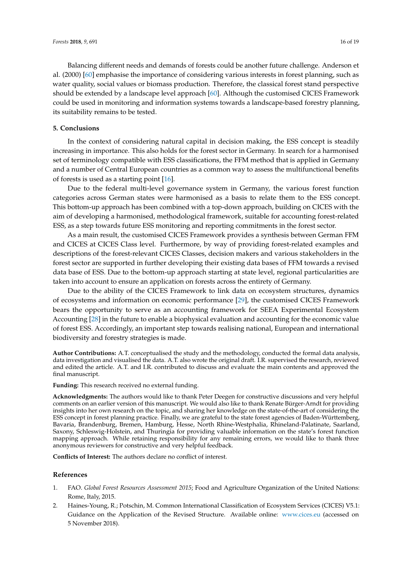Balancing different needs and demands of forests could be another future challenge. Anderson et al. (2000) [\[60\]](#page-18-18) emphasise the importance of considering various interests in forest planning, such as water quality, social values or biomass production. Therefore, the classical forest stand perspective should be extended by a landscape level approach [\[60\]](#page-18-18). Although the customised CICES Framework could be used in monitoring and information systems towards a landscape-based forestry planning, its suitability remains to be tested.

## <span id="page-15-2"></span>**5. Conclusions**

In the context of considering natural capital in decision making, the ESS concept is steadily increasing in importance. This also holds for the forest sector in Germany. In search for a harmonised set of terminology compatible with ESS classifications, the FFM method that is applied in Germany and a number of Central European countries as a common way to assess the multifunctional benefits of forests is used as a starting point [\[16\]](#page-16-13).

Due to the federal multi-level governance system in Germany, the various forest function categories across German states were harmonised as a basis to relate them to the ESS concept. This bottom-up approach has been combined with a top-down approach, building on CICES with the aim of developing a harmonised, methodological framework, suitable for accounting forest-related ESS, as a step towards future ESS monitoring and reporting commitments in the forest sector.

As a main result, the customised CICES Framework provides a synthesis between German FFM and CICES at CICES Class level. Furthermore, by way of providing forest-related examples and descriptions of the forest-relevant CICES Classes, decision makers and various stakeholders in the forest sector are supported in further developing their existing data bases of FFM towards a revised data base of ESS. Due to the bottom-up approach starting at state level, regional particularities are taken into account to ensure an application on forests across the entirety of Germany.

Due to the ability of the CICES Framework to link data on ecosystem structures, dynamics of ecosystems and information on economic performance [\[29\]](#page-17-5), the customised CICES Framework bears the opportunity to serve as an accounting framework for SEEA Experimental Ecosystem Accounting [\[28\]](#page-17-4) in the future to enable a biophysical evaluation and accounting for the economic value of forest ESS. Accordingly, an important step towards realising national, European and international biodiversity and forestry strategies is made.

**Author Contributions:** A.T. conceptualised the study and the methodology, conducted the formal data analysis, data investigation and visualised the data. A.T. also wrote the original draft. I.R. supervised the research, reviewed and edited the article. A.T. and I.R. contributed to discuss and evaluate the main contents and approved the final manuscript.

**Funding:** This research received no external funding.

**Acknowledgments:** The authors would like to thank Peter Deegen for constructive discussions and very helpful comments on an earlier version of this manuscript. We would also like to thank Renate Bürger-Arndt for providing insights into her own research on the topic, and sharing her knowledge on the state-of-the-art of considering the ESS concept in forest planning practice. Finally, we are grateful to the state forest agencies of Baden-Württemberg, Bavaria, Brandenburg, Bremen, Hamburg, Hesse, North Rhine-Westphalia, Rhineland-Palatinate, Saarland, Saxony, Schleswig-Holstein, and Thuringia for providing valuable information on the state's forest function mapping approach. While retaining responsibility for any remaining errors, we would like to thank three anonymous reviewers for constructive and very helpful feedback.

**Conflicts of Interest:** The authors declare no conflict of interest.

#### **References**

- <span id="page-15-0"></span>1. FAO. *Global Forest Resources Assessment 2015*; Food and Agriculture Organization of the United Nations: Rome, Italy, 2015.
- <span id="page-15-1"></span>2. Haines-Young, R.; Potschin, M. Common International Classification of Ecosystem Services (CICES) V5.1: Guidance on the Application of the Revised Structure. Available online: <www.cices.eu> (accessed on 5 November 2018).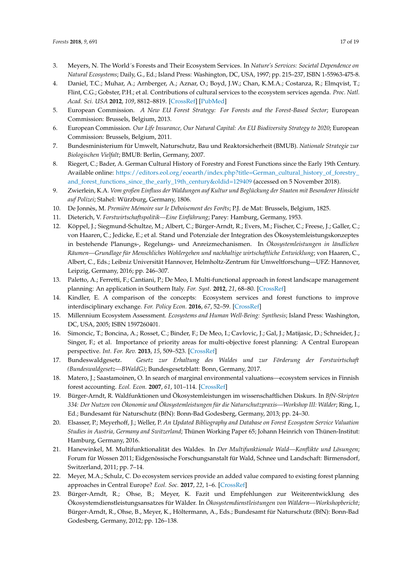- <span id="page-16-0"></span>3. Meyers, N. The World´s Forests and Their Ecosystem Services. In *Nature's Services: Societal Dependence on Natural Ecosystems*; Daily, G., Ed.; Island Press: Washington, DC, USA, 1997; pp. 215–237, ISBN 1-55963-475-8.
- <span id="page-16-1"></span>4. Daniel, T.C.; Muhar, A.; Arnberger, A.; Aznar, O.; Boyd, J.W.; Chan, K.M.A.; Costanza, R.; Elmqvist, T.; Flint, C.G.; Gobster, P.H.; et al. Contributions of cultural services to the ecosystem services agenda. *Proc. Natl. Acad. Sci. USA* **2012**, *109*, 8812–8819. [\[CrossRef\]](http://dx.doi.org/10.1073/pnas.1114773109) [\[PubMed\]](http://www.ncbi.nlm.nih.gov/pubmed/22615401)
- <span id="page-16-2"></span>5. European Commission. *A New EU Forest Strategy: For Forests and the Forest-Based Sector*; European Commission: Brussels, Belgium, 2013.
- <span id="page-16-3"></span>6. European Commission. *Our Life Insurance, Our Natural Capital: An EU Biodiversity Strategy to 2020*; European Commission: Brussels, Belgium, 2011.
- <span id="page-16-4"></span>7. Bundesministerium für Umwelt, Naturschutz, Bau und Reaktorsicherheit (BMUB). *Nationale Strategie zur Biologischen Vielfalt*; BMUB: Berlin, Germany, 2007.
- <span id="page-16-5"></span>8. Riegert, C.; Bader, A. German Cultural History of Forestry and Forest Functions since the Early 19th Century. Available online: [https://editors.eol.org/eoearth/index.php?title=German\\_cultural\\_history\\_of\\_forestry\\_](https://editors.eol.org/eoearth/index.php?title=German_cultural_history_of_forestry_and_forest_functions_since_the_early_19th_century& oldid=129409) [and\\_forest\\_functions\\_since\\_the\\_early\\_19th\\_century&oldid=129409](https://editors.eol.org/eoearth/index.php?title=German_cultural_history_of_forestry_and_forest_functions_since_the_early_19th_century& oldid=129409) (accessed on 5 November 2018).
- <span id="page-16-6"></span>9. Zwierlein, K.A. *Vom großen Einfluss der Waldungen auf Kultur und Beglückung der Staaten mit Besonderer Hinsicht auf Polizei*; Stahel: Würzburg, Germany, 1806.
- <span id="page-16-7"></span>10. De Jonnès, M. *Première Mémoire sur le Déboisement des Forêts*; P.J. de Mat: Brussels, Belgium, 1825.
- <span id="page-16-8"></span>11. Dieterich, V. *Forstwirtschaftspolitik—Eine Einführung*; Parey: Hamburg, Germany, 1953.
- <span id="page-16-9"></span>12. Köppel, J.; Siegmund-Schultze, M.; Albert, C.; Bürger-Arndt, R.; Evers, M.; Fischer, C.; Freese, J.; Galler, C.; von Haaren, C.; Jedicke, E.; et al. Stand und Potenziale der Integration des Ökosystemleistungskonzeptes in bestehende Planungs-, Regelungs- und Anreizmechanismen. In *Ökosystemleistungen in ländlichen Räumen—Grundlage für Menschliches Wohlergehen und nachhaltige wirtschaftliche Entwicklung*; von Haaren, C., Albert, C., Eds.; Leibniz Universität Hannover, Helmholtz-Zentrum für Umweltforschung—UFZ: Hannover, Leipzig, Germany, 2016; pp. 246–307.
- <span id="page-16-10"></span>13. Paletto, A.; Ferretti, F.; Cantiani, P.; De Meo, I. Multi-functional approach in forest landscape management planning: An application in Southern Italy. *For. Syst.* **2012**, *21*, 68–80. [\[CrossRef\]](http://dx.doi.org/10.5424/fs/2112211-11066)
- <span id="page-16-11"></span>14. Kindler, E. A comparison of the concepts: Ecosystem services and forest functions to improve interdisciplinary exchange. *For. Policy Econ.* **2016**, *67*, 52–59. [\[CrossRef\]](http://dx.doi.org/10.1016/j.forpol.2016.03.011)
- <span id="page-16-12"></span>15. Millennium Ecosystem Assessment. *Ecosystems and Human Well-Being: Synthesis*; Island Press: Washington, DC, USA, 2005; ISBN 1597260401.
- <span id="page-16-13"></span>16. Simoncic, T.; Boncina, A.; Rosset, C.; Binder, F.; De Meo, I.; Cavlovic, J.; Gal, J.; Matijasic, D.; Schneider, J.; Singer, F.; et al. Importance of priority areas for multi-objective forest planning: A Central European perspective. *Int. For. Rev.* **2013**, *15*, 509–523. [\[CrossRef\]](http://dx.doi.org/10.1505/146554813809025685)
- <span id="page-16-14"></span>17. Bundeswaldgesetz. *Gesetz zur Erhaltung des Waldes und zur Förderung der Forstwirtschaft (Bundeswaldgesetz—BWaldG)*; Bundesgesetzblatt: Bonn, Germany, 2017.
- <span id="page-16-15"></span>18. Matero, J.; Saastamoinen, O. In search of marginal environmental valuations*—*ecosystem services in Finnish forest accounting. *Ecol. Econ.* **2007**, *61*, 101–114. [\[CrossRef\]](http://dx.doi.org/10.1016/j.ecolecon.2006.02.006)
- <span id="page-16-16"></span>19. Bürger-Arndt, R. Waldfunktionen und Ökosystemleistungen im wissenschaftlichen Diskurs. In *BfN-Skripten 334: Der Nutzen von Ökonomie und Ökosystemleistungen für die Naturschutzpraxis—Workshop III: Wälder*; Ring, I., Ed.; Bundesamt für Naturschutz (BfN): Bonn-Bad Godesberg, Germany, 2013; pp. 24–30.
- <span id="page-16-17"></span>20. Elsasser, P.; Meyerhoff, J.; Weller, P. *An Updated Bibliography and Database on Forest Ecosystem Service Valuation Studies in Austria, Germany and Switzerland*; Thünen Working Paper 65; Johann Heinrich von Thünen-Institut: Hamburg, Germany, 2016.
- <span id="page-16-18"></span>21. Hanewinkel, M. Multifunktionalität des Waldes. In *Der Multifunktionale Wald—Konflikte und Lösungen*; Forum für Wossen 2011; Eidgenössische Forschungsanstalt für Wald, Schnee und Landschaft: Birmensdorf, Switzerland, 2011; pp. 7–14.
- <span id="page-16-19"></span>22. Meyer, M.A.; Schulz, C. Do ecosystem services provide an added value compared to existing forest planning approaches in Central Europe? *Ecol. Soc.* **2017**, *22*, 1–6. [\[CrossRef\]](http://dx.doi.org/10.5751/ES-09372-220306)
- <span id="page-16-20"></span>23. Bürger-Arndt, R.; Ohse, B.; Meyer, K. Fazit und Empfehlungen zur Weiterentwicklung des Ökosystemdienstleistungsansatzes für Wälder. In *Ökosystemdienstleistungen von Wäldern—Workshopbericht*; Bürger-Arndt, R., Ohse, B., Meyer, K., Höltermann, A., Eds.; Bundesamt für Naturschutz (BfN): Bonn-Bad Godesberg, Germany, 2012; pp. 126–138.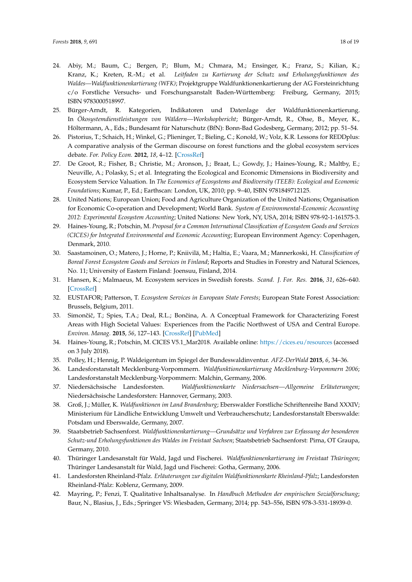- <span id="page-17-19"></span><span id="page-17-0"></span>24. Abiy, M.; Baum, C.; Bergen, P.; Blum, M.; Chmara, M.; Ensinger, K.; Franz, S.; Kilian, K.; Kranz, K.; Kreten, R.-M.; et al. *Leitfaden zu Kartierung der Schutz und Erholungsfunktionen des Waldes—Waldfunktionenkartierung (WFK)*; Projektgruppe Waldfunktionenkartierung der AG Forsteinrichtung c/o Forstliche Versuchs- und Forschungsanstalt Baden-Württemberg: Freiburg, Germany, 2015; ISBN 9783000518997.
- <span id="page-17-1"></span>25. Bürger-Arndt, R. Kategorien, Indikatoren und Datenlage der Waldfunktionenkartierung. In *Ökosystemdienstleistungen von Wäldern—Workshopbericht*; Bürger-Arndt, R., Ohse, B., Meyer, K., Höltermann, A., Eds.; Bundesamt für Naturschutz (BfN): Bonn-Bad Godesberg, Germany, 2012; pp. 51–54.
- <span id="page-17-2"></span>26. Pistorius, T.; Schaich, H.; Winkel, G.; Plieninger, T.; Bieling, C.; Konold, W.; Volz, K.R. Lessons for REDDplus: A comparative analysis of the German discourse on forest functions and the global ecosystem services debate. *For. Policy Econ.* **2012**, *18*, 4–12. [\[CrossRef\]](http://dx.doi.org/10.1016/j.forpol.2011.09.001)
- <span id="page-17-3"></span>27. De Groot, R.; Fisher, B.; Christie, M.; Aronson, J.; Braat, L.; Gowdy, J.; Haines-Young, R.; Maltby, E.; Neuville, A.; Polasky, S.; et al. Integrating the Ecological and Economic Dimensions in Biodiversity and Ecosystem Service Valuation. In *The Economics of Ecosystems and Biodiversity (TEEB): Ecological and Economic Foundations*; Kumar, P., Ed.; Earthscan: London, UK, 2010; pp. 9–40, ISBN 9781849712125.
- <span id="page-17-4"></span>28. United Nations; European Union; Food and Agriculture Organization of the United Nations; Organisation for Economic Co-operation and Development; World Bank. *System of Environmental-Economic Accounting 2012: Experimental Ecosystem Accounting*; United Nations: New York, NY, USA, 2014; ISBN 978-92-1-161575-3.
- <span id="page-17-5"></span>29. Haines-Young, R.; Potschin, M. *Proposal for a Common International Classification of Ecosystem Goods and Services (CICES) for Integrated Environmental and Economic Accounting*; European Environment Agency: Copenhagen, Denmark, 2010.
- <span id="page-17-6"></span>30. Saastamoinen, O.; Matero, J.; Horne, P.; Kniivilä, M.; Haltia, E.; Vaara, M.; Mannerkoski, H. *Classification of Boreal Forest Ecosystem Goods and Services in Finland*; Reports and Studies in Forestry and Natural Sciences, No. 11; University of Eastern Finland: Joensuu, Finland, 2014.
- <span id="page-17-7"></span>31. Hansen, K.; Malmaeus, M. Ecosystem services in Swedish forests. *Scand. J. For. Res.* **2016**, *31*, 626–640. [\[CrossRef\]](http://dx.doi.org/10.1080/02827581.2016.1164888)
- <span id="page-17-8"></span>32. EUSTAFOR; Patterson, T. *Ecosystem Services in European State Forests*; European State Forest Association: Brussels, Belgium, 2011.
- <span id="page-17-9"></span>33. Simončič, T.; Spies, T.A.; Deal, R.L.; Bončina, A. A Conceptual Framework for Characterizing Forest Areas with High Societal Values: Experiences from the Pacific Northwest of USA and Central Europe. *Environ. Manag.* **2015**, *56*, 127–143. [\[CrossRef\]](http://dx.doi.org/10.1007/s00267-015-0482-4) [\[PubMed\]](http://www.ncbi.nlm.nih.gov/pubmed/25894271)
- <span id="page-17-10"></span>34. Haines-Young, R.; Potschin, M. CICES V5.1\_Mar2018. Available online: <https://cices.eu/resources> (accessed on 3 July 2018).
- <span id="page-17-11"></span>35. Polley, H.; Hennig, P. Waldeigentum im Spiegel der Bundeswaldinventur. *AFZ-DerWald* **2015**, *6*, 34–36.
- <span id="page-17-12"></span>36. Landesforstanstalt Mecklenburg-Vorpommern. *Waldfunktionenkartierung Mecklenburg-Vorpommern 2006*; Landesforstanstalt Mecklenburg-Vorpommern: Malchin, Germany, 2006.
- <span id="page-17-13"></span>37. Niedersächsische Landesforsten. *Waldfunktionenkarte Niedersachsen—Allgemeine Erläuterungen*; Niedersächsische Landesforsten: Hannover, Germany, 2003.
- <span id="page-17-14"></span>38. Groß, J.; Müller, K. *Waldfunktionen im Land Brandenburg*; Eberswalder Forstliche Schriftenreihe Band XXXIV; Ministerium für Ländliche Entwicklung Umwelt und Verbraucherschutz; Landesforstanstalt Eberswalde: Potsdam und Eberswalde, Germany, 2007.
- <span id="page-17-15"></span>39. Staatsbetrieb Sachsenforst. *Waldfunktionenkartierung—Grundsätze und Verfahren zur Erfassung der besonderen Schutz-und Erholungsfunktionen des Waldes im Freistaat Sachsen*; Staatsbetrieb Sachsenforst: Pirna, OT Graupa, Germany, 2010.
- <span id="page-17-16"></span>40. Thüringer Landesanstalt für Wald, Jagd und Fischerei. *Waldfunktionenkartierung im Freistaat Thüringen*; Thüringer Landesanstalt für Wald, Jagd und Fischerei: Gotha, Germany, 2006.
- <span id="page-17-17"></span>41. Landesforsten Rheinland-Pfalz. *Erläuterungen zur digitalen Waldfunktionenkarte Rheinland-Pfalz*; Landesforsten Rheinland-Pfalz: Koblenz, Germany, 2009.
- <span id="page-17-18"></span>42. Mayring, P.; Fenzi, T. Qualitative Inhaltsanalyse. In *Handbuch Methoden der empirischen Sozialforschung*; Baur, N., Blasius, J., Eds.; Springer VS: Wiesbaden, Germany, 2014; pp. 543–556, ISBN 978-3-531-18939-0.